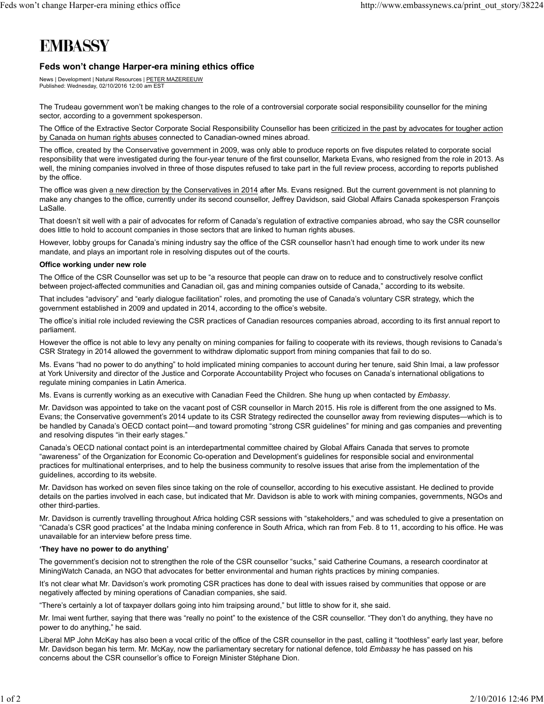# **EMBASSY**

## **Feds won't change Harper-era mining ethics office**

News | Development | Natural Resources | PETER MAZEREEUW Published: Wednesday, 02/10/2016 12:00 am EST

The Trudeau government won't be making changes to the role of a controversial corporate social responsibility counsellor for the mining sector, according to a government spokesperson.

The Office of the Extractive Sector Corporate Social Responsibility Counsellor has been criticized in the past by advocates for tougher action by Canada on human rights abuses connected to Canadian-owned mines abroad.

The office, created by the Conservative government in 2009, was only able to produce reports on five disputes related to corporate social responsibility that were investigated during the four-year tenure of the first counsellor, Marketa Evans, who resigned from the role in 2013. As well, the mining companies involved in three of those disputes refused to take part in the full review process, according to reports published by the office.

The office was given a new direction by the Conservatives in 2014 after Ms. Evans resigned. But the current government is not planning to make any changes to the office, currently under its second counsellor, Jeffrey Davidson, said Global Affairs Canada spokesperson François LaSalle.

That doesn't sit well with a pair of advocates for reform of Canada's regulation of extractive companies abroad, who say the CSR counsellor does little to hold to account companies in those sectors that are linked to human rights abuses.

However, lobby groups for Canada's mining industry say the office of the CSR counsellor hasn't had enough time to work under its new mandate, and plays an important role in resolving disputes out of the courts.

### **Office working under new role**

The Office of the CSR Counsellor was set up to be "a resource that people can draw on to reduce and to constructively resolve conflict between project-affected communities and Canadian oil, gas and mining companies outside of Canada," according to its website.

That includes "advisory" and "early dialogue facilitation" roles, and promoting the use of Canada's voluntary CSR strategy, which the government established in 2009 and updated in 2014, according to the office's website.

The office's initial role included reviewing the CSR practices of Canadian resources companies abroad, according to its first annual report to parliament.

However the office is not able to levy any penalty on mining companies for failing to cooperate with its reviews, though revisions to Canada's CSR Strategy in 2014 allowed the government to withdraw diplomatic support from mining companies that fail to do so.

Ms. Evans "had no power to do anything" to hold implicated mining companies to account during her tenure, said Shin Imai, a law professor at York University and director of the Justice and Corporate Accountability Project who focuses on Canada's international obligations to regulate mining companies in Latin America.

Ms. Evans is currently working as an executive with Canadian Feed the Children. She hung up when contacted by *Embassy*.

Mr. Davidson was appointed to take on the vacant post of CSR counsellor in March 2015. His role is different from the one assigned to Ms. Evans; the Conservative government's 2014 update to its CSR Strategy redirected the counsellor away from reviewing disputes—which is to be handled by Canada's OECD contact point—and toward promoting "strong CSR guidelines" for mining and gas companies and preventing and resolving disputes "in their early stages."

Canada's OECD national contact point is an interdepartmental committee chaired by Global Affairs Canada that serves to promote "awareness" of the Organization for Economic Co-operation and Development's guidelines for responsible social and environmental practices for multinational enterprises, and to help the business community to resolve issues that arise from the implementation of the guidelines, according to its website.

Mr. Davidson has worked on seven files since taking on the role of counsellor, according to his executive assistant. He declined to provide details on the parties involved in each case, but indicated that Mr. Davidson is able to work with mining companies, governments, NGOs and other third-parties.

Mr. Davidson is currently travelling throughout Africa holding CSR sessions with "stakeholders," and was scheduled to give a presentation on "Canada's CSR good practices" at the Indaba mining conference in South Africa, which ran from Feb. 8 to 11, according to his office. He was unavailable for an interview before press time.

#### **'They have no power to do anything'**

The government's decision not to strengthen the role of the CSR counsellor "sucks," said Catherine Coumans, a research coordinator at MiningWatch Canada, an NGO that advocates for better environmental and human rights practices by mining companies.

It's not clear what Mr. Davidson's work promoting CSR practices has done to deal with issues raised by communities that oppose or are negatively affected by mining operations of Canadian companies, she said.

"There's certainly a lot of taxpayer dollars going into him traipsing around," but little to show for it, she said.

Mr. Imai went further, saying that there was "really no point" to the existence of the CSR counsellor. "They don't do anything, they have no power to do anything," he said.

Liberal MP John McKay has also been a vocal critic of the office of the CSR counsellor in the past, calling it "toothless" early last year, before Mr. Davidson began his term. Mr. McKay, now the parliamentary secretary for national defence, told *Embassy* he has passed on his concerns about the CSR counsellor's office to Foreign Minister Stéphane Dion.